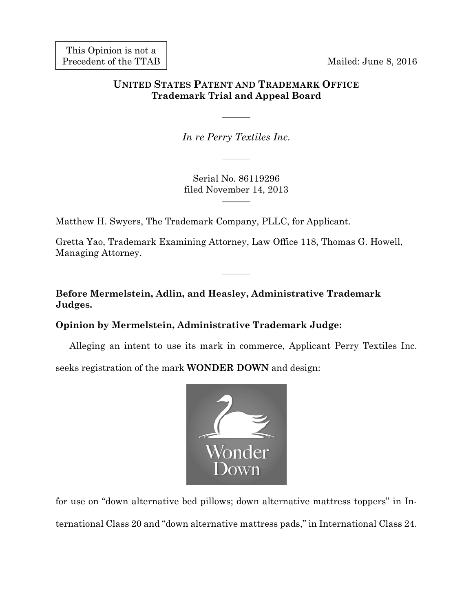This Opinion is not a Precedent of the TTAB

Mailed: June 8, 2016

# **UNITED STATES PATENT AND TRADEMARK OFFICE Trademark Trial and Appeal Board**

*In re Perry Textiles Inc.* 

———

———

Serial No. 86119296 filed November 14, 2013

———

Matthew H. Swyers, The Trademark Company, PLLC, for Applicant.

Gretta Yao, Trademark Examining Attorney, Law Office 118, Thomas G. Howell, Managing Attorney.

———

**Before Mermelstein, Adlin, and Heasley, Administrative Trademark Judges.** 

## **Opinion by Mermelstein, Administrative Trademark Judge:**

Alleging an intent to use its mark in commerce, Applicant Perry Textiles Inc.

seeks registration of the mark **WONDER DOWN** and design:



for use on "down alternative bed pillows; down alternative mattress toppers" in International Class 20 and "down alternative mattress pads," in International Class 24.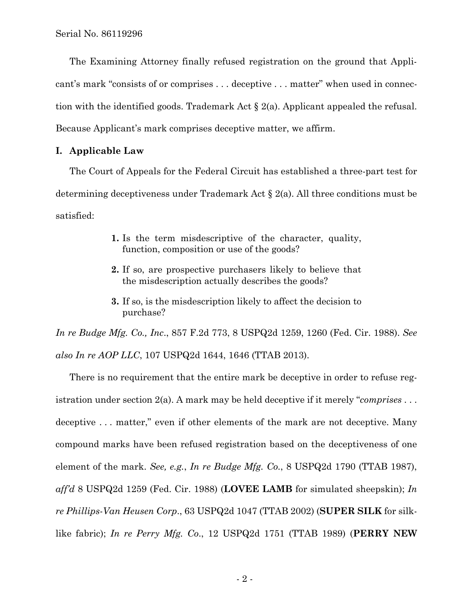The Examining Attorney finally refused registration on the ground that Applicant's mark "consists of or comprises . . . deceptive . . . matter" when used in connection with the identified goods. Trademark Act § 2(a). Applicant appealed the refusal. Because Applicant's mark comprises deceptive matter, we affirm.

#### **I. Applicable Law**

The Court of Appeals for the Federal Circuit has established a three-part test for determining deceptiveness under Trademark Act § 2(a). All three conditions must be satisfied:

- **1.** Is the term misdescriptive of the character, quality, function, composition or use of the goods?
- **2.** If so, are prospective purchasers likely to believe that the misdescription actually describes the goods?
- **3.** If so, is the misdescription likely to affect the decision to purchase?

*In re Budge Mfg. Co., Inc*., 857 F.2d 773, 8 USPQ2d 1259, 1260 (Fed. Cir. 1988). *See also In re AOP LLC*, 107 USPQ2d 1644, 1646 (TTAB 2013).

There is no requirement that the entire mark be deceptive in order to refuse registration under section 2(a). A mark may be held deceptive if it merely "*comprises* . . . deceptive . . . matter," even if other elements of the mark are not deceptive. Many compound marks have been refused registration based on the deceptiveness of one element of the mark. *See, e.g.*, *In re Budge Mfg. Co.*, 8 USPQ2d 1790 (TTAB 1987), *aff'd* 8 USPQ2d 1259 (Fed. Cir. 1988) (**LOVEE LAMB** for simulated sheepskin); *In re Phillips-Van Heusen Corp*., 63 USPQ2d 1047 (TTAB 2002) (**SUPER SILK** for silklike fabric); *In re Perry Mfg. Co*., 12 USPQ2d 1751 (TTAB 1989) (**PERRY NEW**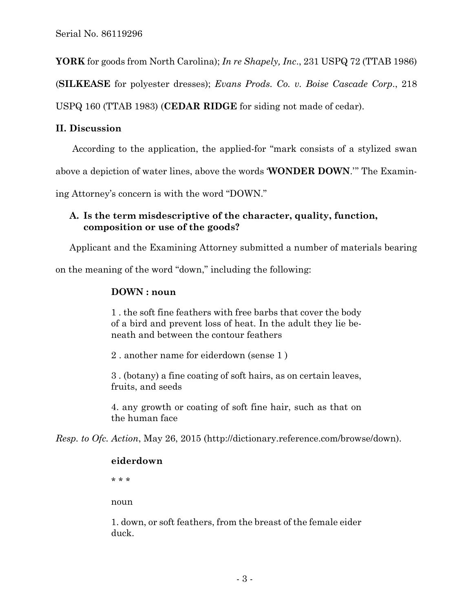**YORK** for goods from North Carolina); *In re Shapely, Inc*., 231 USPQ 72 (TTAB 1986)

(**SILKEASE** for polyester dresses); *Evans Prods. Co. v. Boise Cascade Corp*., 218

USPQ 160 (TTAB 1983) (**CEDAR RIDGE** for siding not made of cedar).

#### **II. Discussion**

According to the application, the applied-for "mark consists of a stylized swan

above a depiction of water lines, above the words '**WONDER DOWN**.'" The Examin-

ing Attorney's concern is with the word "DOWN."

## **A. Is the term misdescriptive of the character, quality, function, composition or use of the goods?**

Applicant and the Examining Attorney submitted a number of materials bearing

on the meaning of the word "down," including the following:

### **DOWN : noun**

1 . the soft fine feathers with free barbs that cover the body of a bird and prevent loss of heat. In the adult they lie beneath and between the contour feathers

2 . another name for eiderdown (sense 1 )

3 . (botany) a fine coating of soft hairs, as on certain leaves, fruits, and seeds

4. any growth or coating of soft fine hair, such as that on the human face

*Resp. to Ofc. Action*, May 26, 2015 (http://dictionary.reference.com/browse/down).

#### **eiderdown**

\* \* \*

noun

1. down, or soft feathers, from the breast of the female eider duck.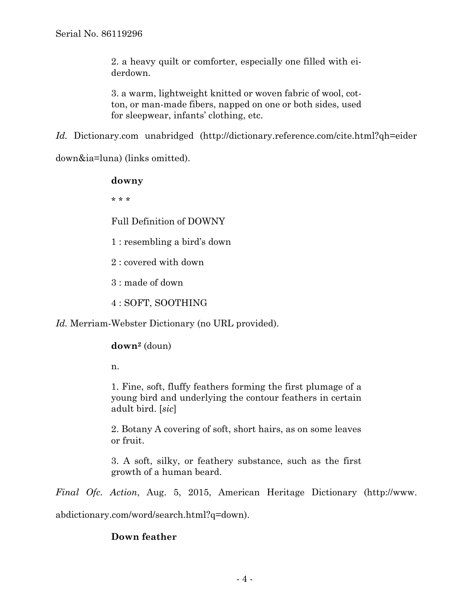2. a heavy quilt or comforter, especially one filled with eiderdown.

3. a warm, lightweight knitted or woven fabric of wool, cotton, or man-made fibers, napped on one or both sides, used for sleepwear, infants' clothing, etc.

*Id.* Dictionary.com unabridged (http://dictionary.reference.com/cite.html?qh=eider

down&ia=luna) (links omitted).

### **downy**

\* \* \*

Full Definition of DOWNY

1 : resembling a bird's down

2 : covered with down

3 : made of down

4 : SOFT, SOOTHING

*Id.* Merriam-Webster Dictionary (no URL provided).

#### **down2** (doun)

n.

1. Fine, soft, fluffy feathers forming the first plumage of a young bird and underlying the contour feathers in certain adult bird. [*sic*]

2. Botany A covering of soft, short hairs, as on some leaves or fruit.

3. A soft, silky, or feathery substance, such as the first growth of a human beard.

*Final Ofc. Action*, Aug. 5, 2015, American Heritage Dictionary (http://www.

abdictionary.com/word/search.html?q=down).

## **Down feather**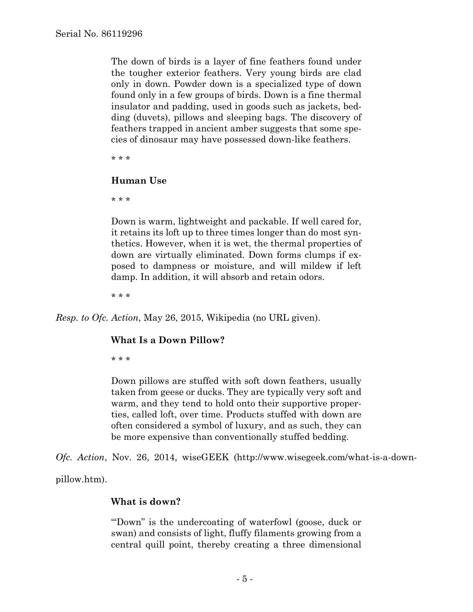The down of birds is a layer of fine feathers found under the tougher exterior feathers. Very young birds are clad only in down. Powder down is a specialized type of down found only in a few groups of birds. Down is a fine thermal insulator and padding, used in goods such as jackets, bedding (duvets), pillows and sleeping bags. The discovery of feathers trapped in ancient amber suggests that some species of dinosaur may have possessed down-like feathers.

\* \* \*

#### **Human Use**

\* \* \*

Down is warm, lightweight and packable. If well cared for, it retains its loft up to three times longer than do most synthetics. However, when it is wet, the thermal properties of down are virtually eliminated. Down forms clumps if exposed to dampness or moisture, and will mildew if left damp. In addition, it will absorb and retain odors.

\* \* \*

*Resp. to Ofc. Action*, May 26, 2015, Wikipedia (no URL given).

## **What Is a Down Pillow?**

\* \* \*

Down pillows are stuffed with soft down feathers, usually taken from geese or ducks. They are typically very soft and warm, and they tend to hold onto their supportive properties, called loft, over time. Products stuffed with down are often considered a symbol of luxury, and as such, they can be more expensive than conventionally stuffed bedding.

*Ofc. Action*, Nov. 26, 2014, wiseGEEK (http://www.wisegeek.com/what-is-a-down-

pillow.htm).

## **What is down?**

"'Down" is the undercoating of waterfowl (goose, duck or swan) and consists of light, fluffy filaments growing from a central quill point, thereby creating a three dimensional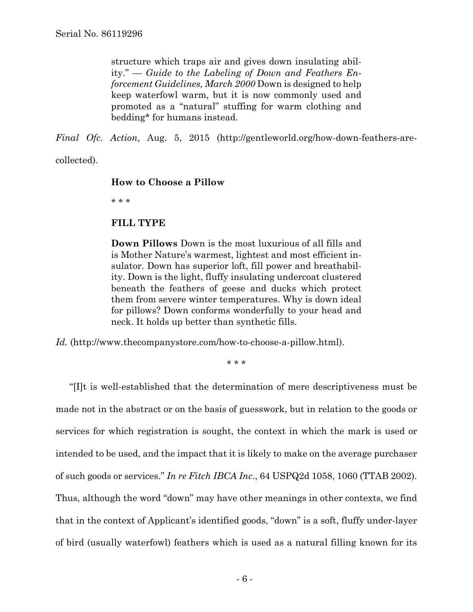structure which traps air and gives down insulating ability." — *Guide to the Labeling of Down and Feathers Enforcement Guidelines, March 2000* Down is designed to help keep waterfowl warm, but it is now commonly used and promoted as a "natural" stuffing for warm clothing and bedding\* for humans instead.

*Final Ofc. Action*, Aug. 5, 2015 (http://gentleworld.org/how-down-feathers-are-

collected).

#### **How to Choose a Pillow**

\* \* \*

#### **FILL TYPE**

**Down Pillows** Down is the most luxurious of all fills and is Mother Nature's warmest, lightest and most efficient insulator. Down has superior loft, fill power and breathability. Down is the light, fluffy insulating undercoat clustered beneath the feathers of geese and ducks which protect them from severe winter temperatures. Why is down ideal for pillows? Down conforms wonderfully to your head and neck. It holds up better than synthetic fills.

*Id.* (http://www.thecompanystore.com/how-to-choose-a-pillow.html).

\* \* \*

"[I]t is well-established that the determination of mere descriptiveness must be made not in the abstract or on the basis of guesswork, but in relation to the goods or services for which registration is sought, the context in which the mark is used or intended to be used, and the impact that it is likely to make on the average purchaser of such goods or services." *In re Fitch IBCA Inc*., 64 USPQ2d 1058, 1060 (TTAB 2002). Thus, although the word "down" may have other meanings in other contexts, we find that in the context of Applicant's identified goods, "down" is a soft, fluffy under-layer of bird (usually waterfowl) feathers which is used as a natural filling known for its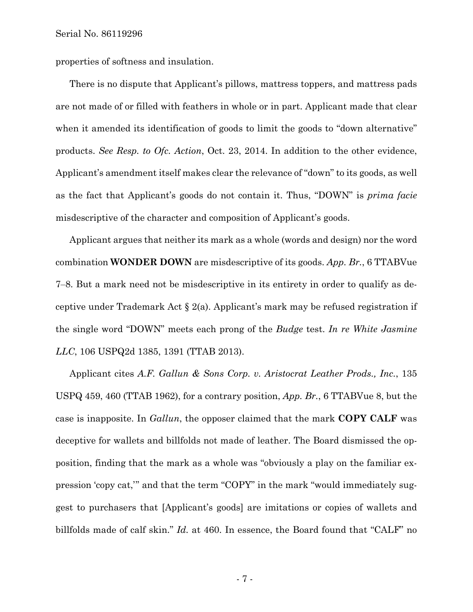properties of softness and insulation.

There is no dispute that Applicant's pillows, mattress toppers, and mattress pads are not made of or filled with feathers in whole or in part. Applicant made that clear when it amended its identification of goods to limit the goods to "down alternative" products. *See Resp. to Ofc. Action*, Oct. 23, 2014. In addition to the other evidence, Applicant's amendment itself makes clear the relevance of "down" to its goods, as well as the fact that Applicant's goods do not contain it. Thus, "DOWN" is *prima facie* misdescriptive of the character and composition of Applicant's goods.

Applicant argues that neither its mark as a whole (words and design) nor the word combination **WONDER DOWN** are misdescriptive of its goods. *App. Br.*, 6 TTABVue 7‒8. But a mark need not be misdescriptive in its entirety in order to qualify as deceptive under Trademark Act § 2(a). Applicant's mark may be refused registration if the single word "DOWN" meets each prong of the *Budge* test. *In re White Jasmine LLC*, 106 USPQ2d 1385, 1391 (TTAB 2013).

Applicant cites *A.F. Gallun & Sons Corp. v. Aristocrat Leather Prods., Inc.*, 135 USPQ 459, 460 (TTAB 1962), for a contrary position, *App. Br.*, 6 TTABVue 8, but the case is inapposite. In *Gallun*, the opposer claimed that the mark **COPY CALF** was deceptive for wallets and billfolds not made of leather. The Board dismissed the opposition, finding that the mark as a whole was "obviously a play on the familiar expression 'copy cat,'" and that the term "COPY" in the mark "would immediately suggest to purchasers that [Applicant's goods] are imitations or copies of wallets and billfolds made of calf skin." *Id.* at 460. In essence, the Board found that "CALF" no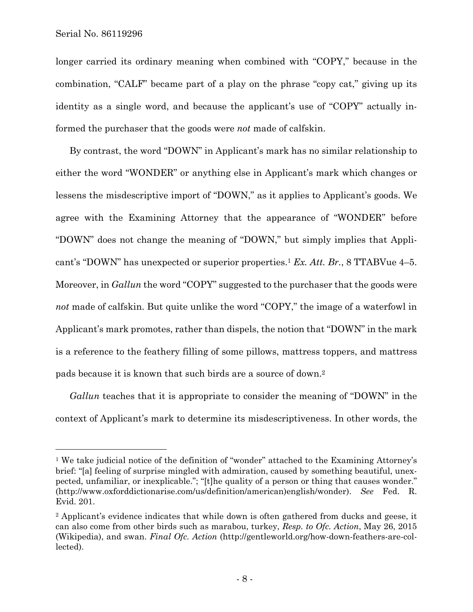$\overline{a}$ 

longer carried its ordinary meaning when combined with "COPY," because in the combination, "CALF" became part of a play on the phrase "copy cat," giving up its identity as a single word, and because the applicant's use of "COPY" actually informed the purchaser that the goods were *not* made of calfskin.

By contrast, the word "DOWN" in Applicant's mark has no similar relationship to either the word "WONDER" or anything else in Applicant's mark which changes or lessens the misdescriptive import of "DOWN," as it applies to Applicant's goods. We agree with the Examining Attorney that the appearance of "WONDER" before "DOWN" does not change the meaning of "DOWN," but simply implies that Applicant's "DOWN" has unexpected or superior properties.1 *Ex. Att. Br.*, 8 TTABVue 4–5. Moreover, in *Gallun* the word "COPY" suggested to the purchaser that the goods were *not* made of calfskin. But quite unlike the word "COPY," the image of a waterfowl in Applicant's mark promotes, rather than dispels, the notion that "DOWN" in the mark is a reference to the feathery filling of some pillows, mattress toppers, and mattress pads because it is known that such birds are a source of down.2

*Gallun* teaches that it is appropriate to consider the meaning of "DOWN" in the context of Applicant's mark to determine its misdescriptiveness. In other words, the

<sup>1</sup> We take judicial notice of the definition of "wonder" attached to the Examining Attorney's brief: "[a] feeling of surprise mingled with admiration, caused by something beautiful, unexpected, unfamiliar, or inexplicable."; "[t]he quality of a person or thing that causes wonder." (http://www.oxforddictionarise.com/us/definition/american)english/wonder). *See* Fed. R. Evid. 201.

<sup>2</sup> Applicant's evidence indicates that while down is often gathered from ducks and geese, it can also come from other birds such as marabou, turkey, *Resp. to Ofc. Action*, May 26, 2015 (Wikipedia), and swan. *Final Ofc. Action* (http://gentleworld.org/how-down-feathers-are-collected).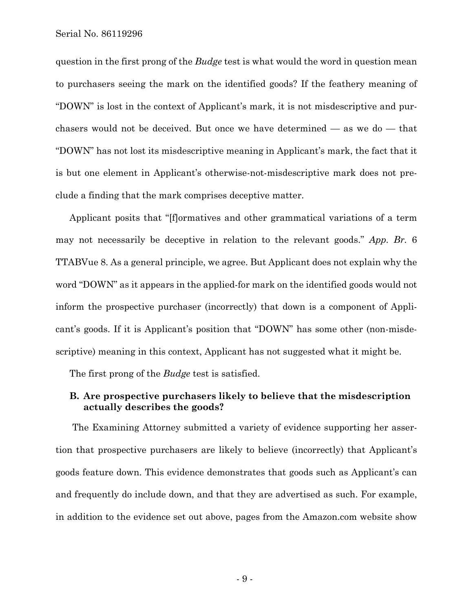question in the first prong of the *Budge* test is what would the word in question mean to purchasers seeing the mark on the identified goods? If the feathery meaning of "DOWN" is lost in the context of Applicant's mark, it is not misdescriptive and purchasers would not be deceived. But once we have determined — as we do — that "DOWN" has not lost its misdescriptive meaning in Applicant's mark, the fact that it is but one element in Applicant's otherwise-not-misdescriptive mark does not preclude a finding that the mark comprises deceptive matter.

Applicant posits that "[f]ormatives and other grammatical variations of a term may not necessarily be deceptive in relation to the relevant goods." *App. Br.* 6 TTABVue 8. As a general principle, we agree. But Applicant does not explain why the word "DOWN" as it appears in the applied-for mark on the identified goods would not inform the prospective purchaser (incorrectly) that down is a component of Applicant's goods. If it is Applicant's position that "DOWN" has some other (non-misdescriptive) meaning in this context, Applicant has not suggested what it might be.

The first prong of the *Budge* test is satisfied.

#### **B. Are prospective purchasers likely to believe that the misdescription actually describes the goods?**

The Examining Attorney submitted a variety of evidence supporting her assertion that prospective purchasers are likely to believe (incorrectly) that Applicant's goods feature down. This evidence demonstrates that goods such as Applicant's can and frequently do include down, and that they are advertised as such. For example, in addition to the evidence set out above, pages from the Amazon.com website show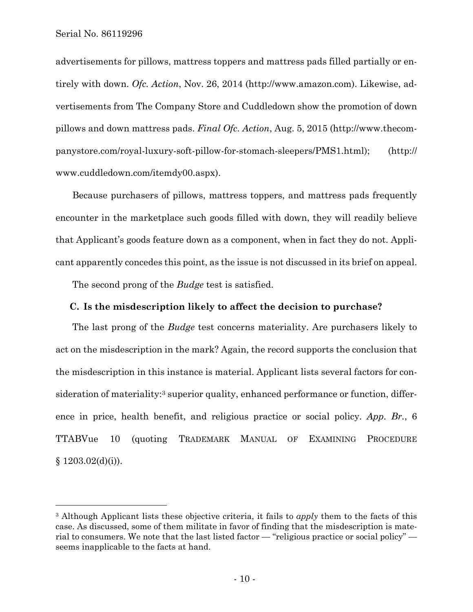1

advertisements for pillows, mattress toppers and mattress pads filled partially or entirely with down. *Ofc. Action*, Nov. 26, 2014 (http://www.amazon.com). Likewise, advertisements from The Company Store and Cuddledown show the promotion of down pillows and down mattress pads. *Final Ofc. Action*, Aug. 5, 2015 (http://www.thecompanystore.com/royal-luxury-soft-pillow-for-stomach-sleepers/PMS1.html); (http:// www.cuddledown.com/itemdy00.aspx).

Because purchasers of pillows, mattress toppers, and mattress pads frequently encounter in the marketplace such goods filled with down, they will readily believe that Applicant's goods feature down as a component, when in fact they do not. Applicant apparently concedes this point, as the issue is not discussed in its brief on appeal.

The second prong of the *Budge* test is satisfied.

#### **C. Is the misdescription likely to affect the decision to purchase?**

The last prong of the *Budge* test concerns materiality. Are purchasers likely to act on the misdescription in the mark? Again, the record supports the conclusion that the misdescription in this instance is material. Applicant lists several factors for consideration of materiality:<sup>3</sup> superior quality, enhanced performance or function, difference in price, health benefit, and religious practice or social policy. *App. Br.*, 6 TTABVue 10 (quoting TRADEMARK MANUAL OF EXAMINING PROCEDURE  $§ 1203.02(d)(i)).$ 

<sup>3</sup> Although Applicant lists these objective criteria, it fails to *apply* them to the facts of this case. As discussed, some of them militate in favor of finding that the misdescription is material to consumers. We note that the last listed factor — "religious practice or social policy" seems inapplicable to the facts at hand.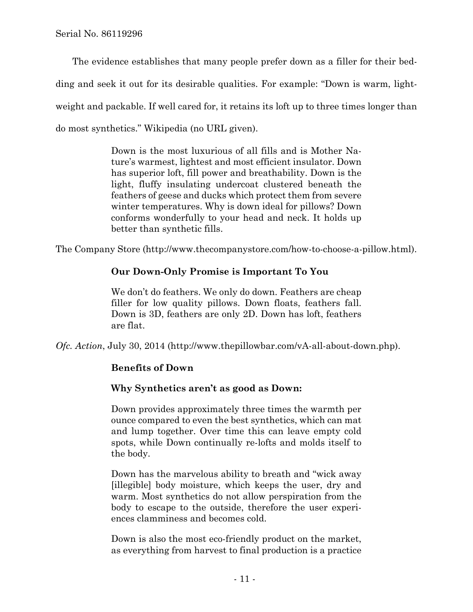The evidence establishes that many people prefer down as a filler for their bedding and seek it out for its desirable qualities. For example: "Down is warm, lightweight and packable. If well cared for, it retains its loft up to three times longer than do most synthetics." Wikipedia (no URL given).

> Down is the most luxurious of all fills and is Mother Nature's warmest, lightest and most efficient insulator. Down has superior loft, fill power and breathability. Down is the light, fluffy insulating undercoat clustered beneath the feathers of geese and ducks which protect them from severe winter temperatures. Why is down ideal for pillows? Down conforms wonderfully to your head and neck. It holds up better than synthetic fills.

The Company Store (http://www.thecompanystore.com/how-to-choose-a-pillow.html).

## **Our Down-Only Promise is Important To You**

We don't do feathers. We only do down. Feathers are cheap filler for low quality pillows. Down floats, feathers fall. Down is 3D, feathers are only 2D. Down has loft, feathers are flat.

*Ofc. Action*, July 30, 2014 (http://www.thepillowbar.com/vA-all-about-down.php).

# **Benefits of Down**

## **Why Synthetics aren't as good as Down:**

Down provides approximately three times the warmth per ounce compared to even the best synthetics, which can mat and lump together. Over time this can leave empty cold spots, while Down continually re-lofts and molds itself to the body.

Down has the marvelous ability to breath and "wick away [illegible] body moisture, which keeps the user, dry and warm. Most synthetics do not allow perspiration from the body to escape to the outside, therefore the user experiences clamminess and becomes cold.

Down is also the most eco-friendly product on the market, as everything from harvest to final production is a practice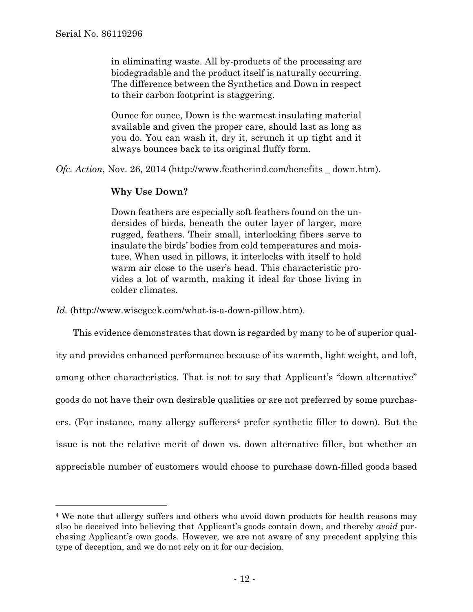$\overline{a}$ 

in eliminating waste. All by-products of the processing are biodegradable and the product itself is naturally occurring. The difference between the Synthetics and Down in respect to their carbon footprint is staggering.

Ounce for ounce, Down is the warmest insulating material available and given the proper care, should last as long as you do. You can wash it, dry it, scrunch it up tight and it always bounces back to its original fluffy form.

*Ofc. Action*, Nov. 26, 2014 (http://www.featherind.com/benefits \_ down.htm).

# **Why Use Down?**

Down feathers are especially soft feathers found on the undersides of birds, beneath the outer layer of larger, more rugged, feathers. Their small, interlocking fibers serve to insulate the birds' bodies from cold temperatures and moisture. When used in pillows, it interlocks with itself to hold warm air close to the user's head. This characteristic provides a lot of warmth, making it ideal for those living in colder climates.

*Id.* (http://www.wisegeek.com/what-is-a-down-pillow.htm).

 This evidence demonstrates that down is regarded by many to be of superior quality and provides enhanced performance because of its warmth, light weight, and loft, among other characteristics. That is not to say that Applicant's "down alternative" goods do not have their own desirable qualities or are not preferred by some purchasers. (For instance, many allergy sufferers4 prefer synthetic filler to down). But the issue is not the relative merit of down vs. down alternative filler, but whether an appreciable number of customers would choose to purchase down-filled goods based

<sup>&</sup>lt;sup>4</sup> We note that allergy suffers and others who avoid down products for health reasons may also be deceived into believing that Applicant's goods contain down, and thereby *avoid* purchasing Applicant's own goods. However, we are not aware of any precedent applying this type of deception, and we do not rely on it for our decision.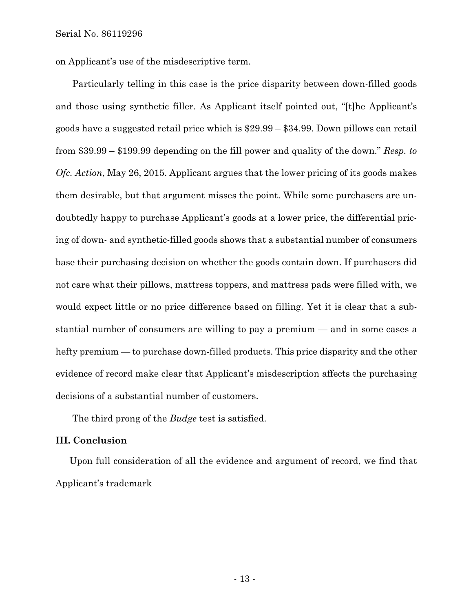on Applicant's use of the misdescriptive term.

Particularly telling in this case is the price disparity between down-filled goods and those using synthetic filler. As Applicant itself pointed out, "[t]he Applicant's goods have a suggested retail price which is \$29.99 – \$34.99. Down pillows can retail from \$39.99 – \$199.99 depending on the fill power and quality of the down." *Resp. to Ofc. Action*, May 26, 2015. Applicant argues that the lower pricing of its goods makes them desirable, but that argument misses the point. While some purchasers are undoubtedly happy to purchase Applicant's goods at a lower price, the differential pricing of down- and synthetic-filled goods shows that a substantial number of consumers base their purchasing decision on whether the goods contain down. If purchasers did not care what their pillows, mattress toppers, and mattress pads were filled with, we would expect little or no price difference based on filling. Yet it is clear that a substantial number of consumers are willing to pay a premium — and in some cases a hefty premium — to purchase down-filled products. This price disparity and the other evidence of record make clear that Applicant's misdescription affects the purchasing decisions of a substantial number of customers.

The third prong of the *Budge* test is satisfied.

#### **III. Conclusion**

Upon full consideration of all the evidence and argument of record, we find that Applicant's trademark